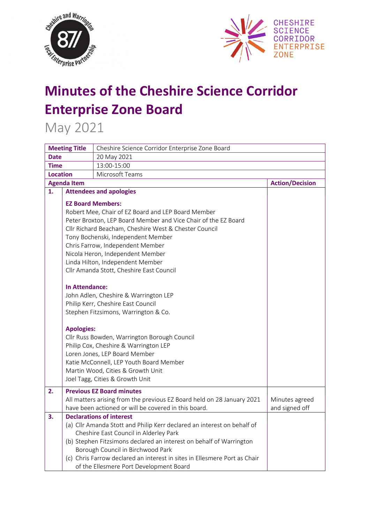



## **Minutes of the Cheshire Science Corridor Enterprise Zone Board**

May 2021

| <b>Meeting Title</b> |                                            | Cheshire Science Corridor Enterprise Zone Board                                                                                                                                                                                                                                                                                                                                                                                                                                                                                                                                                                                                                                                                                                                             |                                  |  |  |  |  |
|----------------------|--------------------------------------------|-----------------------------------------------------------------------------------------------------------------------------------------------------------------------------------------------------------------------------------------------------------------------------------------------------------------------------------------------------------------------------------------------------------------------------------------------------------------------------------------------------------------------------------------------------------------------------------------------------------------------------------------------------------------------------------------------------------------------------------------------------------------------------|----------------------------------|--|--|--|--|
| <b>Date</b>          |                                            | 20 May 2021                                                                                                                                                                                                                                                                                                                                                                                                                                                                                                                                                                                                                                                                                                                                                                 |                                  |  |  |  |  |
| <b>Time</b>          |                                            | 13:00-15:00                                                                                                                                                                                                                                                                                                                                                                                                                                                                                                                                                                                                                                                                                                                                                                 |                                  |  |  |  |  |
| <b>Location</b>      |                                            | Microsoft Teams                                                                                                                                                                                                                                                                                                                                                                                                                                                                                                                                                                                                                                                                                                                                                             |                                  |  |  |  |  |
|                      | <b>Agenda Item</b>                         |                                                                                                                                                                                                                                                                                                                                                                                                                                                                                                                                                                                                                                                                                                                                                                             | <b>Action/Decision</b>           |  |  |  |  |
| 1.                   |                                            | <b>Attendees and apologies</b>                                                                                                                                                                                                                                                                                                                                                                                                                                                                                                                                                                                                                                                                                                                                              |                                  |  |  |  |  |
|                      | <b>In Attendance:</b><br><b>Apologies:</b> | <b>EZ Board Members:</b><br>Robert Mee, Chair of EZ Board and LEP Board Member<br>Peter Broxton, LEP Board Member and Vice Chair of the EZ Board<br>Cllr Richard Beacham, Cheshire West & Chester Council<br>Tony Bochenski, Independent Member<br>Chris Farrow, Independent Member<br>Nicola Heron, Independent Member<br>Linda Hilton, Independent Member<br>Cllr Amanda Stott, Cheshire East Council<br>John Adlen, Cheshire & Warrington LEP<br>Philip Kerr, Cheshire East Council<br>Stephen Fitzsimons, Warrington & Co.<br>Cllr Russ Bowden, Warrington Borough Council<br>Philip Cox, Cheshire & Warrington LEP<br>Loren Jones, LEP Board Member<br>Katie McConnell, LEP Youth Board Member<br>Martin Wood, Cities & Growth Unit<br>Joel Tagg, Cities & Growth Unit |                                  |  |  |  |  |
| 2.                   |                                            | <b>Previous EZ Board minutes</b><br>All matters arising from the previous EZ Board held on 28 January 2021<br>have been actioned or will be covered in this board.                                                                                                                                                                                                                                                                                                                                                                                                                                                                                                                                                                                                          | Minutes agreed<br>and signed off |  |  |  |  |
| 3.                   |                                            | <b>Declarations of interest</b><br>(a) Cllr Amanda Stott and Philip Kerr declared an interest on behalf of<br>Cheshire East Council in Alderley Park<br>(b) Stephen Fitzsimons declared an interest on behalf of Warrington<br>Borough Council in Birchwood Park<br>(c) Chris Farrow declared an interest in sites in Ellesmere Port as Chair<br>of the Ellesmere Port Development Board                                                                                                                                                                                                                                                                                                                                                                                    |                                  |  |  |  |  |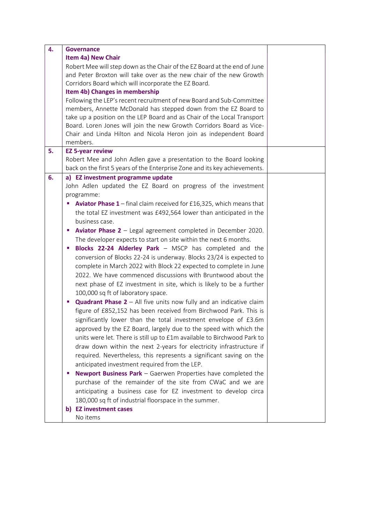| 4. | <b>Governance</b>                                                                                                                                            |  |
|----|--------------------------------------------------------------------------------------------------------------------------------------------------------------|--|
|    | <b>Item 4a) New Chair</b>                                                                                                                                    |  |
|    | Robert Mee will step down as the Chair of the EZ Board at the end of June                                                                                    |  |
|    | and Peter Broxton will take over as the new chair of the new Growth                                                                                          |  |
|    | Corridors Board which will incorporate the EZ Board.                                                                                                         |  |
|    | Item 4b) Changes in membership                                                                                                                               |  |
|    | Following the LEP's recent recruitment of new Board and Sub-Committee                                                                                        |  |
|    | members, Annette McDonald has stepped down from the EZ Board to                                                                                              |  |
|    | take up a position on the LEP Board and as Chair of the Local Transport                                                                                      |  |
|    | Board. Loren Jones will join the new Growth Corridors Board as Vice-                                                                                         |  |
|    | Chair and Linda Hilton and Nicola Heron join as independent Board                                                                                            |  |
| 5. | members.                                                                                                                                                     |  |
|    | <b>EZ 5-year review</b><br>Robert Mee and John Adlen gave a presentation to the Board looking                                                                |  |
|    | back on the first 5 years of the Enterprise Zone and its key achievements.                                                                                   |  |
| 6. | a) EZ investment programme update                                                                                                                            |  |
|    | John Adlen updated the EZ Board on progress of the investment                                                                                                |  |
|    | programme:                                                                                                                                                   |  |
|    | <b>Aviator Phase 1</b> – final claim received for £16,325, which means that<br>ш                                                                             |  |
|    | the total EZ investment was £492,564 lower than anticipated in the                                                                                           |  |
|    | business case.                                                                                                                                               |  |
|    | <b>Aviator Phase 2</b> $-$ Legal agreement completed in December 2020.<br>$\mathcal{L}_{\mathcal{A}}$                                                        |  |
|    | The developer expects to start on site within the next 6 months.                                                                                             |  |
|    | <b>Blocks 22-24 Alderley Park - MSCP has completed and the</b><br>п                                                                                          |  |
|    | conversion of Blocks 22-24 is underway. Blocks 23/24 is expected to                                                                                          |  |
|    | complete in March 2022 with Block 22 expected to complete in June                                                                                            |  |
|    | 2022. We have commenced discussions with Bruntwood about the                                                                                                 |  |
|    |                                                                                                                                                              |  |
|    | next phase of EZ investment in site, which is likely to be a further                                                                                         |  |
|    | 100,000 sq ft of laboratory space.<br>ш                                                                                                                      |  |
|    | <b>Quadrant Phase <math>2 - All</math></b> five units now fully and an indicative claim<br>figure of £852,152 has been received from Birchwood Park. This is |  |
|    |                                                                                                                                                              |  |
|    | significantly lower than the total investment envelope of £3.6m                                                                                              |  |
|    | approved by the EZ Board, largely due to the speed with which the                                                                                            |  |
|    | units were let. There is still up to £1m available to Birchwood Park to                                                                                      |  |
|    | draw down within the next 2-years for electricity infrastructure if                                                                                          |  |
|    | required. Nevertheless, this represents a significant saving on the                                                                                          |  |
|    | anticipated investment required from the LEP.                                                                                                                |  |
|    | <b>Newport Business Park</b> - Gaerwen Properties have completed the<br>ш                                                                                    |  |
|    | purchase of the remainder of the site from CWaC and we are                                                                                                   |  |
|    | anticipating a business case for EZ investment to develop circa                                                                                              |  |
|    | 180,000 sq ft of industrial floorspace in the summer.                                                                                                        |  |
|    | b) EZ investment cases                                                                                                                                       |  |
|    | No items                                                                                                                                                     |  |